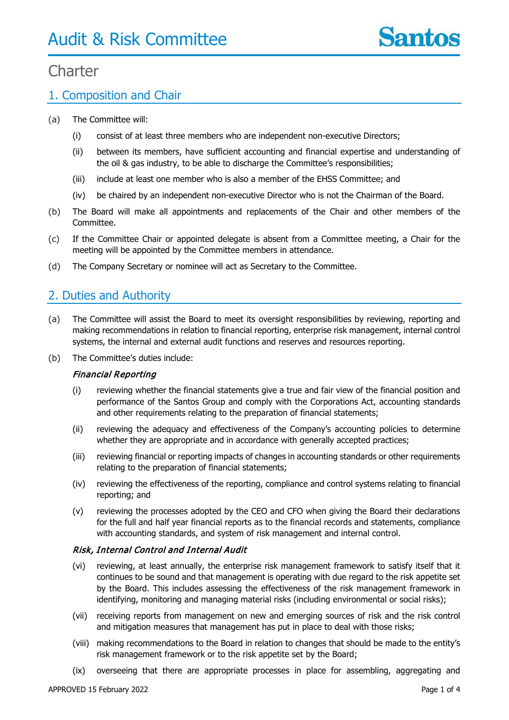### 1. Composition and Chair

- (a) The Committee will:
	- (i) consist of at least three members who are independent non-executive Directors;
	- (ii) between its members, have sufficient accounting and financial expertise and understanding of the oil & gas industry, to be able to discharge the Committee's responsibilities;
	- (iii) include at least one member who is also a member of the EHSS Committee; and
	- (iv) be chaired by an independent non-executive Director who is not the Chairman of the Board.
- (b) The Board will make all appointments and replacements of the Chair and other members of the Committee.
- (c) If the Committee Chair or appointed delegate is absent from a Committee meeting, a Chair for the meeting will be appointed by the Committee members in attendance.
- (d) The Company Secretary or nominee will act as Secretary to the Committee.

### 2. Duties and Authority

- (a) The Committee will assist the Board to meet its oversight responsibilities by reviewing, reporting and making recommendations in relation to financial reporting, enterprise risk management, internal control systems, the internal and external audit functions and reserves and resources reporting.
- (b) The Committee's duties include:

#### Financial Reporting

- (i) reviewing whether the financial statements give a true and fair view of the financial position and performance of the Santos Group and comply with the Corporations Act, accounting standards and other requirements relating to the preparation of financial statements;
- (ii) reviewing the adequacy and effectiveness of the Company's accounting policies to determine whether they are appropriate and in accordance with generally accepted practices;
- (iii) reviewing financial or reporting impacts of changes in accounting standards or other requirements relating to the preparation of financial statements;
- (iv) reviewing the effectiveness of the reporting, compliance and control systems relating to financial reporting; and
- (v) reviewing the processes adopted by the CEO and CFO when giving the Board their declarations for the full and half year financial reports as to the financial records and statements, compliance with accounting standards, and system of risk management and internal control.

#### Risk, Internal Control and Internal Audit

- (vi) reviewing, at least annually, the enterprise risk management framework to satisfy itself that it continues to be sound and that management is operating with due regard to the risk appetite set by the Board. This includes assessing the effectiveness of the risk management framework in identifying, monitoring and managing material risks (including environmental or social risks);
- (vii) receiving reports from management on new and emerging sources of risk and the risk control and mitigation measures that management has put in place to deal with those risks;
- (viii) making recommendations to the Board in relation to changes that should be made to the entity's risk management framework or to the risk appetite set by the Board;
- (ix) overseeing that there are appropriate processes in place for assembling, aggregating and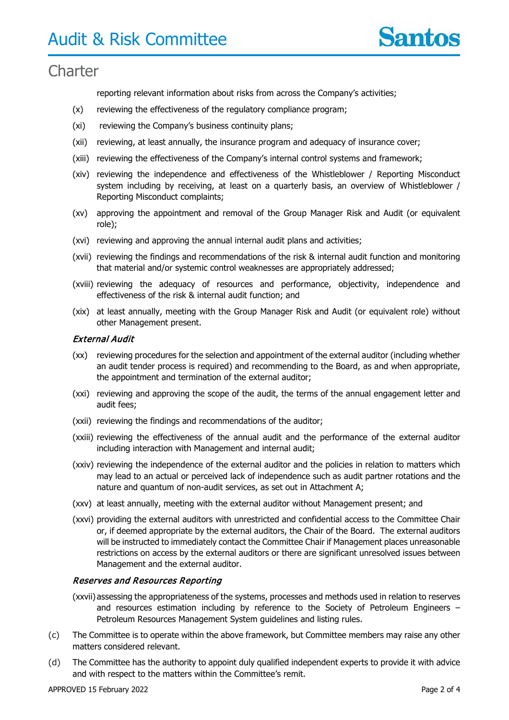

reporting relevant information about risks from across the Company's activities;

- (x) reviewing the effectiveness of the regulatory compliance program;
- (xi) reviewing the Company's business continuity plans;
- (xii) reviewing, at least annually, the insurance program and adequacy of insurance cover;
- (xiii) reviewing the effectiveness of the Company's internal control systems and framework;
- (xiv) reviewing the independence and effectiveness of the Whistleblower / Reporting Misconduct system including by receiving, at least on a quarterly basis, an overview of Whistleblower / Reporting Misconduct complaints;
- (xv) approving the appointment and removal of the Group Manager Risk and Audit (or equivalent role);
- (xvi) reviewing and approving the annual internal audit plans and activities;
- (xvii) reviewing the findings and recommendations of the risk & internal audit function and monitoring that material and/or systemic control weaknesses are appropriately addressed;
- (xviii) reviewing the adequacy of resources and performance, objectivity, independence and effectiveness of the risk & internal audit function; and
- (xix) at least annually, meeting with the Group Manager Risk and Audit (or equivalent role) without other Management present.

#### External Audit

- (xx) reviewing procedures for the selection and appointment of the external auditor (including whether an audit tender process is required) and recommending to the Board, as and when appropriate, the appointment and termination of the external auditor;
- (xxi) reviewing and approving the scope of the audit, the terms of the annual engagement letter and audit fees;
- (xxii) reviewing the findings and recommendations of the auditor;
- (xxiii) reviewing the effectiveness of the annual audit and the performance of the external auditor including interaction with Management and internal audit;
- (xxiv) reviewing the independence of the external auditor and the policies in relation to matters which may lead to an actual or perceived lack of independence such as audit partner rotations and the nature and quantum of non-audit services, as set out in Attachment A;
- (xxv) at least annually, meeting with the external auditor without Management present; and
- (xxvi) providing the external auditors with unrestricted and confidential access to the Committee Chair or, if deemed appropriate by the external auditors, the Chair of the Board. The external auditors will be instructed to immediately contact the Committee Chair if Management places unreasonable restrictions on access by the external auditors or there are significant unresolved issues between Management and the external auditor.

#### Reserves and Resources Reporting

- (xxvii) assessing the appropriateness of the systems, processes and methods used in relation to reserves and resources estimation including by reference to the Society of Petroleum Engineers – Petroleum Resources Management System guidelines and listing rules.
- (c) The Committee is to operate within the above framework, but Committee members may raise any other matters considered relevant.
- (d) The Committee has the authority to appoint duly qualified independent experts to provide it with advice and with respect to the matters within the Committee's remit.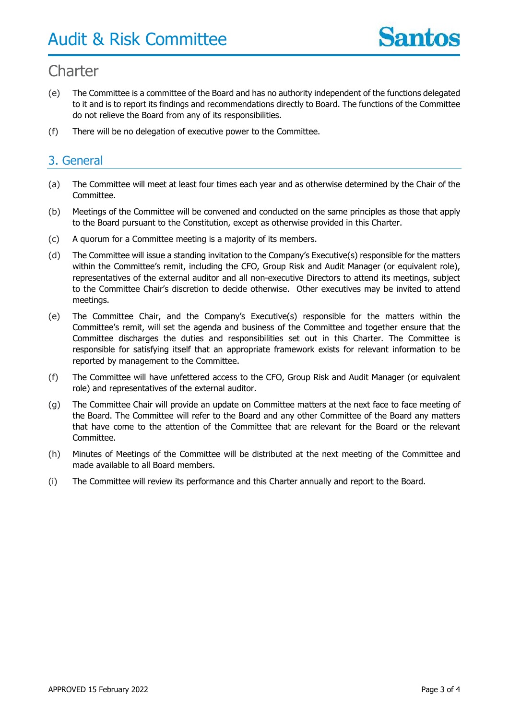- (e) The Committee is a committee of the Board and has no authority independent of the functions delegated to it and is to report its findings and recommendations directly to Board. The functions of the Committee do not relieve the Board from any of its responsibilities.
- (f) There will be no delegation of executive power to the Committee.

### 3. General

- (a) The Committee will meet at least four times each year and as otherwise determined by the Chair of the Committee.
- (b) Meetings of the Committee will be convened and conducted on the same principles as those that apply to the Board pursuant to the Constitution, except as otherwise provided in this Charter.
- (c) A quorum for a Committee meeting is a majority of its members.
- (d) The Committee will issue a standing invitation to the Company's Executive(s) responsible for the matters within the Committee's remit, including the CFO, Group Risk and Audit Manager (or equivalent role), representatives of the external auditor and all non-executive Directors to attend its meetings, subject to the Committee Chair's discretion to decide otherwise. Other executives may be invited to attend meetings.
- (e) The Committee Chair, and the Company's Executive(s) responsible for the matters within the Committee's remit, will set the agenda and business of the Committee and together ensure that the Committee discharges the duties and responsibilities set out in this Charter. The Committee is responsible for satisfying itself that an appropriate framework exists for relevant information to be reported by management to the Committee.
- (f) The Committee will have unfettered access to the CFO, Group Risk and Audit Manager (or equivalent role) and representatives of the external auditor.
- (g) The Committee Chair will provide an update on Committee matters at the next face to face meeting of the Board. The Committee will refer to the Board and any other Committee of the Board any matters that have come to the attention of the Committee that are relevant for the Board or the relevant Committee.
- (h) Minutes of Meetings of the Committee will be distributed at the next meeting of the Committee and made available to all Board members.
- (i) The Committee will review its performance and this Charter annually and report to the Board.